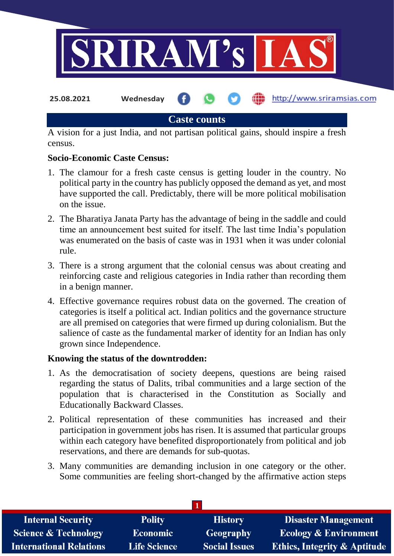

A vision for a just India, and not partisan political gains, should inspire a fresh census.

## **Socio-Economic Caste Census:**

- 1. The clamour for a fresh caste census is getting louder in the country. No political party in the country has publicly opposed the demand as yet, and most have supported the call. Predictably, there will be more political mobilisation on the issue.
- 2. The Bharatiya Janata Party has the advantage of being in the saddle and could time an announcement best suited for itself. The last time India's population was enumerated on the basis of caste was in 1931 when it was under colonial rule.
- 3. There is a strong argument that the colonial census was about creating and reinforcing caste and religious categories in India rather than recording them in a benign manner.
- 4. Effective governance requires robust data on the governed. The creation of categories is itself a political act. Indian politics and the governance structure are all premised on categories that were firmed up during colonialism. But the salience of caste as the fundamental marker of identity for an Indian has only grown since Independence.

## **Knowing the status of the downtrodden:**

- 1. As the democratisation of society deepens, questions are being raised regarding the status of Dalits, tribal communities and a large section of the population that is characterised in the Constitution as Socially and Educationally Backward Classes.
- 2. Political representation of these communities has increased and their participation in government jobs has risen. It is assumed that particular groups within each category have benefited disproportionately from political and job reservations, and there are demands for sub-quotas.
- 3. Many communities are demanding inclusion in one category or the other. Some communities are feeling short-changed by the affirmative action steps

| <b>Internal Security</b>       | <b>Polity</b>       | <b>History</b>       | <b>Disaster Management</b>              |
|--------------------------------|---------------------|----------------------|-----------------------------------------|
| Science & Technology           | <b>Economic</b>     | <b>Geography</b>     | <b>Ecology &amp; Environment</b>        |
| <b>International Relations</b> | <b>Life Science</b> | <b>Social Issues</b> | <b>Ethics, Integrity &amp; Aptitude</b> |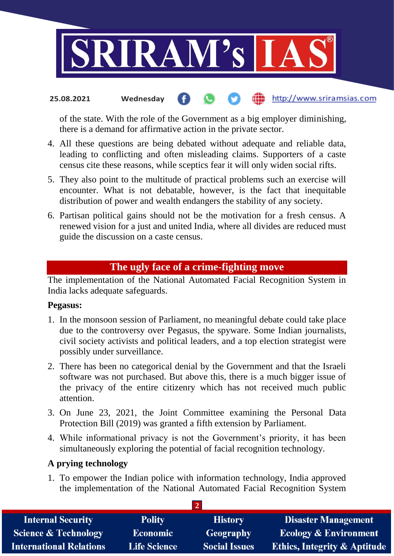

#### the http://www.sriramsias.com **25.08.2021 Wednesday**

of the state. With the role of the Government as a big employer diminishing, there is a demand for affirmative action in the private sector.

- 4. All these questions are being debated without adequate and reliable data, leading to conflicting and often misleading claims. Supporters of a caste census cite these reasons, while sceptics fear it will only widen social rifts.
- 5. They also point to the multitude of practical problems such an exercise will encounter. What is not debatable, however, is the fact that inequitable distribution of power and wealth endangers the stability of any society.
- 6. Partisan political gains should not be the motivation for a fresh census. A renewed vision for a just and united India, where all divides are reduced must guide the discussion on a caste census.

# **The ugly face of a crime-fighting move**

The implementation of the National Automated Facial Recognition System in India lacks adequate safeguards.

### **Pegasus:**

- 1. In the monsoon session of Parliament, no meaningful debate could take place due to the controversy over Pegasus, the spyware. Some Indian journalists, civil society activists and political leaders, and a top election strategist were possibly under surveillance.
- 2. There has been no categorical denial by the Government and that the Israeli software was not purchased. But above this, there is a much bigger issue of the privacy of the entire citizenry which has not received much public attention.
- 3. On June 23, 2021, the Joint Committee examining the Personal Data Protection Bill (2019) was granted a fifth extension by Parliament.
- 4. While informational privacy is not the Government's priority, it has been simultaneously exploring the potential of facial recognition technology.

### **A prying technology**

1. To empower the Indian police with information technology, India approved the implementation of the National Automated Facial Recognition System

**2**

| <b>Internal Security</b>        | <b>Polity</b>       | <b>History</b>       | <b>Disaster Management</b>              |
|---------------------------------|---------------------|----------------------|-----------------------------------------|
| <b>Science &amp; Technology</b> | <b>Economic</b>     | <b>Geography</b>     | <b>Ecology &amp; Environment</b>        |
| <b>International Relations</b>  | <b>Life Science</b> | <b>Social Issues</b> | <b>Ethics, Integrity &amp; Aptitude</b> |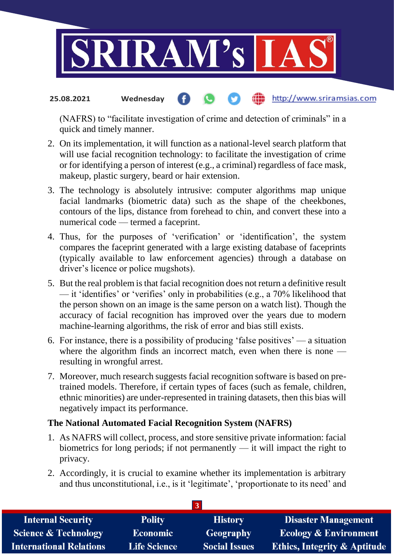

#### http://www.sriramsias.com **25.08.2021 Wednesday**

(NAFRS) to "facilitate investigation of crime and detection of criminals" in a quick and timely manner.

- 2. On its implementation, it will function as a national-level search platform that will use facial recognition technology: to facilitate the investigation of crime or for identifying a person of interest (e.g., a criminal) regardless of face mask, makeup, plastic surgery, beard or hair extension.
- 3. The technology is absolutely intrusive: computer algorithms map unique facial landmarks (biometric data) such as the shape of the cheekbones, contours of the lips, distance from forehead to chin, and convert these into a numerical code — termed a faceprint.
- 4. Thus, for the purposes of 'verification' or 'identification', the system compares the faceprint generated with a large existing database of faceprints (typically available to law enforcement agencies) through a database on driver's licence or police mugshots).
- 5. But the real problem is that facial recognition does not return a definitive result — it 'identifies' or 'verifies' only in probabilities (e.g., a 70% likelihood that the person shown on an image is the same person on a watch list). Though the accuracy of facial recognition has improved over the years due to modern machine-learning algorithms, the risk of error and bias still exists.
- 6. For instance, there is a possibility of producing 'false positives' a situation where the algorithm finds an incorrect match, even when there is none resulting in wrongful arrest.
- 7. Moreover, much research suggests facial recognition software is based on pretrained models. Therefore, if certain types of faces (such as female, children, ethnic minorities) are under-represented in training datasets, then this bias will negatively impact its performance.

## **The National Automated Facial Recognition System (NAFRS)**

- 1. As NAFRS will collect, process, and store sensitive private information: facial biometrics for long periods; if not permanently — it will impact the right to privacy.
- 2. Accordingly, it is crucial to examine whether its implementation is arbitrary and thus unconstitutional, i.e., is it 'legitimate', 'proportionate to its need' and

| <b>Internal Security</b>        | <b>Polity</b>       | <b>History</b>       | <b>Disaster Management</b>              |
|---------------------------------|---------------------|----------------------|-----------------------------------------|
| <b>Science &amp; Technology</b> | <b>Economic</b>     | <b>Geography</b>     | Ecology & Environment                   |
| <b>International Relations</b>  | <b>Life Science</b> | <b>Social Issues</b> | <b>Ethics, Integrity &amp; Aptitude</b> |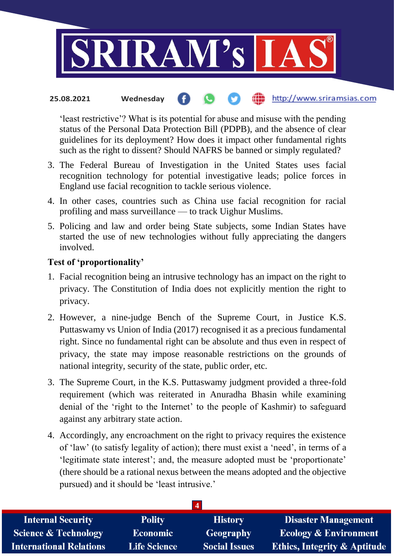

#### the http://www.sriramsias.com **25.08.2021 Wednesday**

'least restrictive'? What is its potential for abuse and misuse with the pending status of the Personal Data Protection Bill (PDPB), and the absence of clear guidelines for its deployment? How does it impact other fundamental rights such as the right to dissent? Should NAFRS be banned or simply regulated?

- 3. The Federal Bureau of Investigation in the United States uses facial recognition technology for potential investigative leads; police forces in England use facial recognition to tackle serious violence.
- 4. In other cases, countries such as China use facial recognition for racial profiling and mass surveillance — to track Uighur Muslims.
- 5. Policing and law and order being State subjects, some Indian States have started the use of new technologies without fully appreciating the dangers involved.

## **Test of 'proportionality'**

- 1. Facial recognition being an intrusive technology has an impact on the right to privacy. The Constitution of India does not explicitly mention the right to privacy.
- 2. However, a nine-judge Bench of the Supreme Court, in Justice K.S. Puttaswamy vs Union of India (2017) recognised it as a precious fundamental right. Since no fundamental right can be absolute and thus even in respect of privacy, the state may impose reasonable restrictions on the grounds of national integrity, security of the state, public order, etc.
- 3. The Supreme Court, in the K.S. Puttaswamy judgment provided a three-fold requirement (which was reiterated in Anuradha Bhasin while examining denial of the 'right to the Internet' to the people of Kashmir) to safeguard against any arbitrary state action.
- 4. Accordingly, any encroachment on the right to privacy requires the existence of 'law' (to satisfy legality of action); there must exist a 'need', in terms of a 'legitimate state interest'; and, the measure adopted must be 'proportionate' (there should be a rational nexus between the means adopted and the objective pursued) and it should be 'least intrusive.'

| <b>Internal Security</b>        | <b>Polity</b>       | <b>History</b>       | <b>Disaster Management</b>              |
|---------------------------------|---------------------|----------------------|-----------------------------------------|
| <b>Science &amp; Technology</b> | <b>Economic</b>     | Geography            | <b>Ecology &amp; Environment</b>        |
| <b>International Relations</b>  | <b>Life Science</b> | <b>Social Issues</b> | <b>Ethics, Integrity &amp; Aptitude</b> |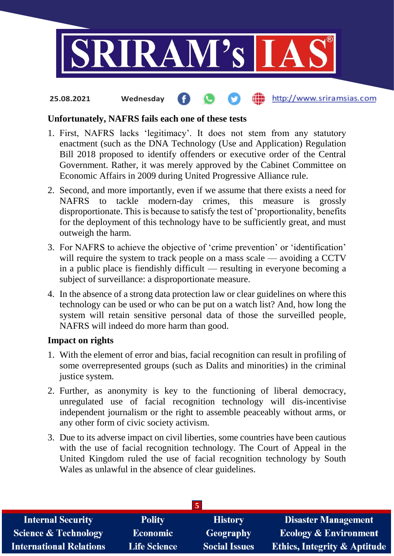

#### **fin** http://www.sriramsias.com **25.08.2021 Wednesday**

### **Unfortunately, NAFRS fails each one of these tests**

- 1. First, NAFRS lacks 'legitimacy'. It does not stem from any statutory enactment (such as the DNA Technology (Use and Application) Regulation Bill 2018 proposed to identify offenders or executive order of the Central Government. Rather, it was merely approved by the Cabinet Committee on Economic Affairs in 2009 during United Progressive Alliance rule.
- 2. Second, and more importantly, even if we assume that there exists a need for NAFRS to tackle modern-day crimes, this measure is grossly disproportionate. This is because to satisfy the test of 'proportionality, benefits for the deployment of this technology have to be sufficiently great, and must outweigh the harm.
- 3. For NAFRS to achieve the objective of 'crime prevention' or 'identification' will require the system to track people on a mass scale — avoiding a CCTV in a public place is fiendishly difficult — resulting in everyone becoming a subject of surveillance: a disproportionate measure.
- 4. In the absence of a strong data protection law or clear guidelines on where this technology can be used or who can be put on a watch list? And, how long the system will retain sensitive personal data of those the surveilled people, NAFRS will indeed do more harm than good.

### **Impact on rights**

- 1. With the element of error and bias, facial recognition can result in profiling of some overrepresented groups (such as Dalits and minorities) in the criminal justice system.
- 2. Further, as anonymity is key to the functioning of liberal democracy, unregulated use of facial recognition technology will dis-incentivise independent journalism or the right to assemble peaceably without arms, or any other form of civic society activism.
- 3. Due to its adverse impact on civil liberties, some countries have been cautious with the use of facial recognition technology. The Court of Appeal in the United Kingdom ruled the use of facial recognition technology by South Wales as unlawful in the absence of clear guidelines.

| <b>Internal Security</b>        | <b>Polity</b>       | <b>History</b>       | <b>Disaster Management</b>              |
|---------------------------------|---------------------|----------------------|-----------------------------------------|
| <b>Science &amp; Technology</b> | Economic            | <b>Geography</b>     | <b>Ecology &amp; Environment</b>        |
| <b>International Relations</b>  | <b>Life Science</b> | <b>Social Issues</b> | <b>Ethics, Integrity &amp; Aptitude</b> |